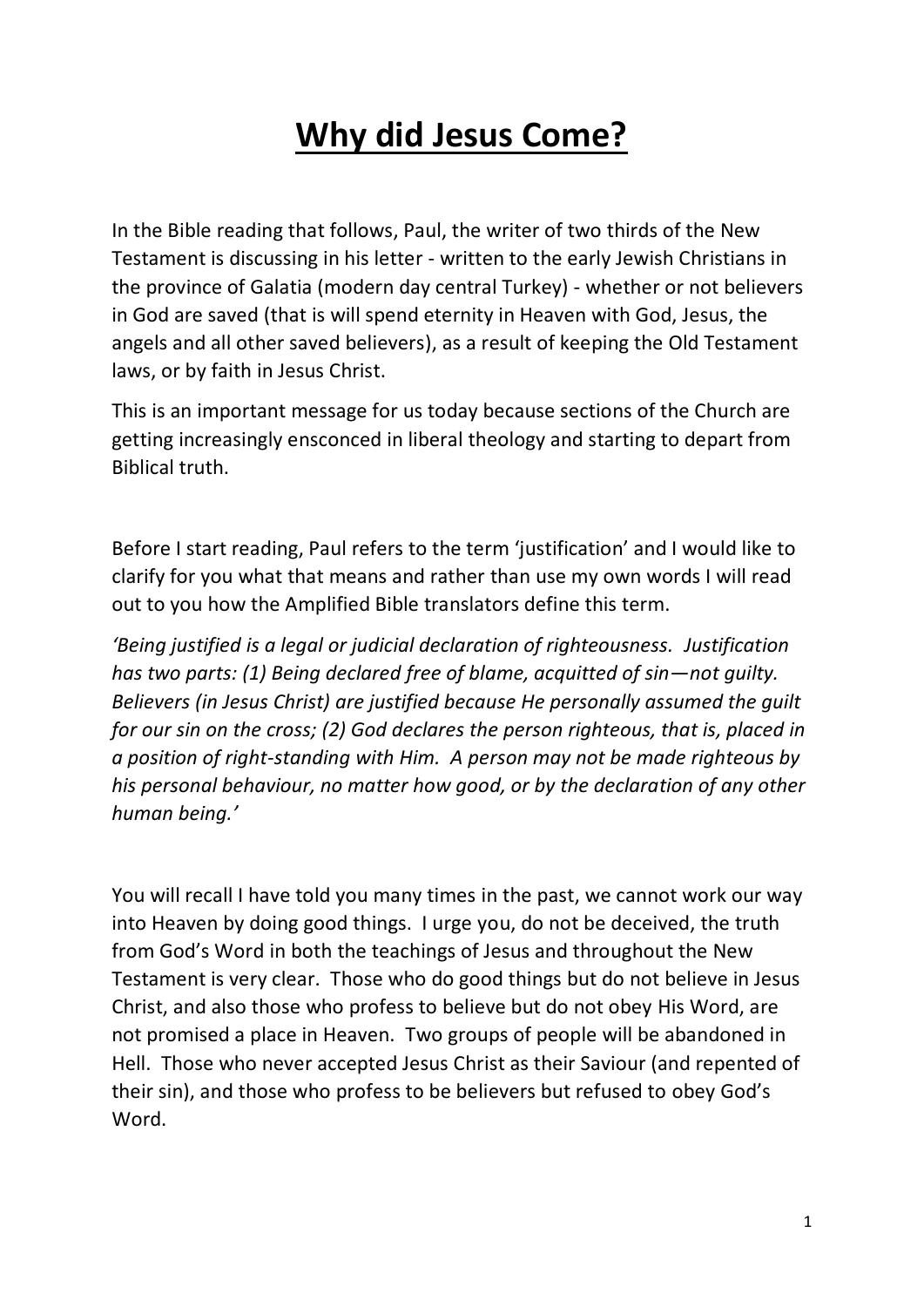# **Why did Jesus Come?**

In the Bible reading that follows, Paul, the writer of two thirds of the New Testament is discussing in his letter - written to the early Jewish Christians in the province of Galatia (modern day central Turkey) - whether or not believers in God are saved (that is will spend eternity in Heaven with God, Jesus, the angels and all other saved believers), as a result of keeping the Old Testament laws, or by faith in Jesus Christ.

This is an important message for us today because sections of the Church are getting increasingly ensconced in liberal theology and starting to depart from Biblical truth.

Before I start reading, Paul refers to the term 'justification' and I would like to clarify for you what that means and rather than use my own words I will read out to you how the Amplified Bible translators define this term.

*'Being justified is a legal or judicial declaration of righteousness. Justification has two parts: (1) Being declared free of blame, acquitted of sin—not guilty. Believers (in Jesus Christ) are justified because He personally assumed the guilt for our sin on the cross; (2) God declares the person righteous, that is, placed in a position of right-standing with Him. A person may not be made righteous by his personal behaviour, no matter how good, or by the declaration of any other human being.'*

You will recall I have told you many times in the past, we cannot work our way into Heaven by doing good things. I urge you, do not be deceived, the truth from God's Word in both the teachings of Jesus and throughout the New Testament is very clear. Those who do good things but do not believe in Jesus Christ, and also those who profess to believe but do not obey His Word, are not promised a place in Heaven. Two groups of people will be abandoned in Hell. Those who never accepted Jesus Christ as their Saviour (and repented of their sin), and those who profess to be believers but refused to obey God's Word.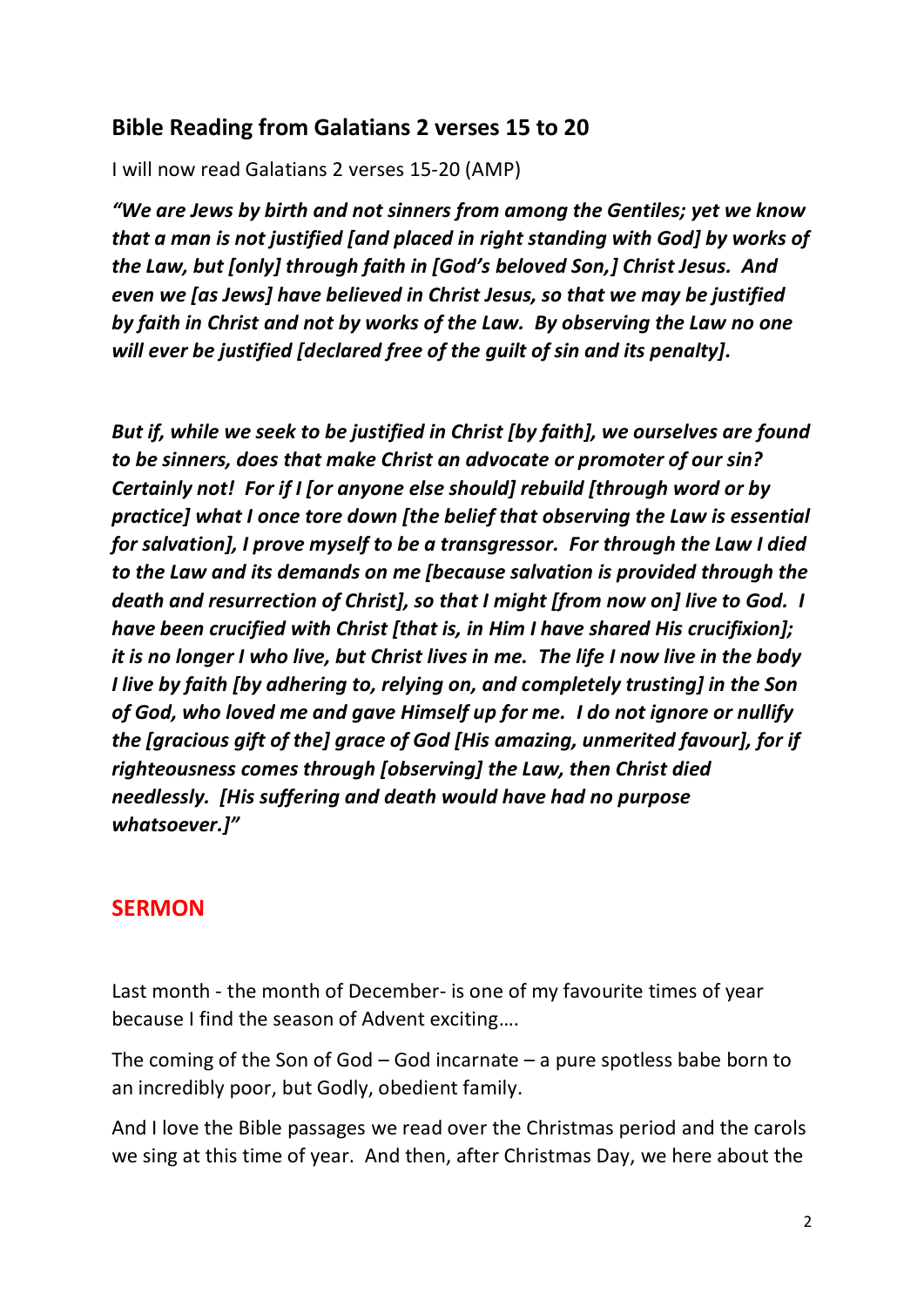#### **Bible Reading from Galatians 2 verses 15 to 20**

I will now read Galatians 2 verses 15-20 (AMP)

*"We are Jews by birth and not sinners from among the Gentiles; yet we know that a man is not justified [and placed in right standing with God] by works of the Law, but [only] through faith in [God's beloved Son,] Christ Jesus. And even we [as Jews] have believed in Christ Jesus, so that we may be justified by faith in Christ and not by works of the Law. By observing the Law no one will ever be justified [declared free of the guilt of sin and its penalty].* 

*But if, while we seek to be justified in Christ [by faith], we ourselves are found to be sinners, does that make Christ an advocate or promoter of our sin? Certainly not! For if I [or anyone else should] rebuild [through word or by practice] what I once tore down [the belief that observing the Law is essential for salvation], I prove myself to be a transgressor. For through the Law I died to the Law and its demands on me [because salvation is provided through the death and resurrection of Christ], so that I might [from now on] live to God. I have been crucified with Christ [that is, in Him I have shared His crucifixion]; it is no longer I who live, but Christ lives in me. The life I now live in the body I live by faith [by adhering to, relying on, and completely trusting] in the Son of God, who loved me and gave Himself up for me. I do not ignore or nullify the [gracious gift of the] grace of God [His amazing, unmerited favour], for if righteousness comes through [observing] the Law, then Christ died needlessly. [His suffering and death would have had no purpose whatsoever.]"*

#### **SERMON**

Last month - the month of December- is one of my favourite times of year because I find the season of Advent exciting….

The coming of the Son of God – God incarnate – a pure spotless babe born to an incredibly poor, but Godly, obedient family.

And I love the Bible passages we read over the Christmas period and the carols we sing at this time of year. And then, after Christmas Day, we here about the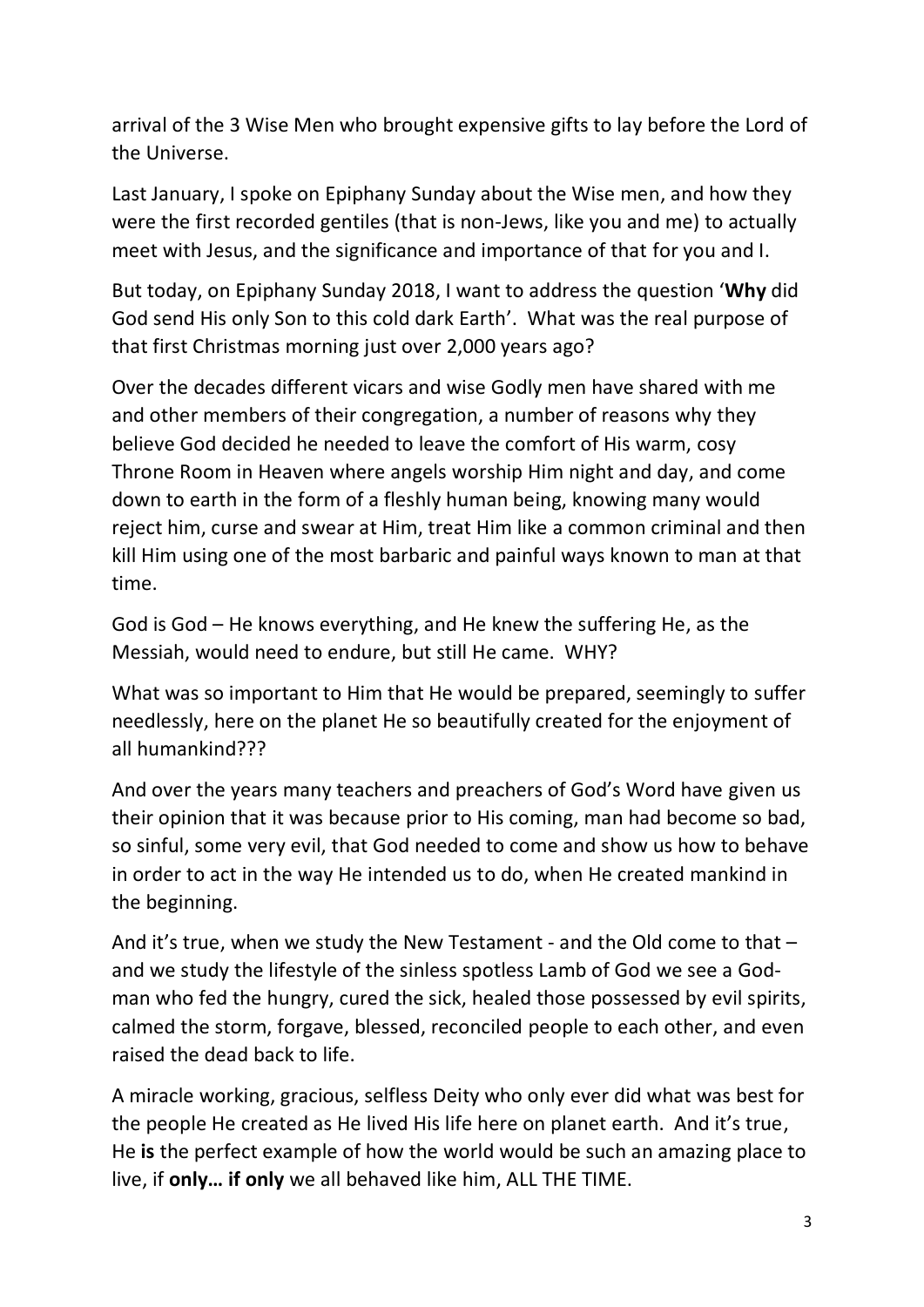arrival of the 3 Wise Men who brought expensive gifts to lay before the Lord of the Universe.

Last January, I spoke on Epiphany Sunday about the Wise men, and how they were the first recorded gentiles (that is non-Jews, like you and me) to actually meet with Jesus, and the significance and importance of that for you and I.

But today, on Epiphany Sunday 2018, I want to address the question '**Why** did God send His only Son to this cold dark Earth'. What was the real purpose of that first Christmas morning just over 2,000 years ago?

Over the decades different vicars and wise Godly men have shared with me and other members of their congregation, a number of reasons why they believe God decided he needed to leave the comfort of His warm, cosy Throne Room in Heaven where angels worship Him night and day, and come down to earth in the form of a fleshly human being, knowing many would reject him, curse and swear at Him, treat Him like a common criminal and then kill Him using one of the most barbaric and painful ways known to man at that time.

God is God – He knows everything, and He knew the suffering He, as the Messiah, would need to endure, but still He came. WHY?

What was so important to Him that He would be prepared, seemingly to suffer needlessly, here on the planet He so beautifully created for the enjoyment of all humankind???

And over the years many teachers and preachers of God's Word have given us their opinion that it was because prior to His coming, man had become so bad, so sinful, some very evil, that God needed to come and show us how to behave in order to act in the way He intended us to do, when He created mankind in the beginning.

And it's true, when we study the New Testament - and the Old come to that – and we study the lifestyle of the sinless spotless Lamb of God we see a Godman who fed the hungry, cured the sick, healed those possessed by evil spirits, calmed the storm, forgave, blessed, reconciled people to each other, and even raised the dead back to life.

A miracle working, gracious, selfless Deity who only ever did what was best for the people He created as He lived His life here on planet earth. And it's true, He **is** the perfect example of how the world would be such an amazing place to live, if **only… if only** we all behaved like him, ALL THE TIME.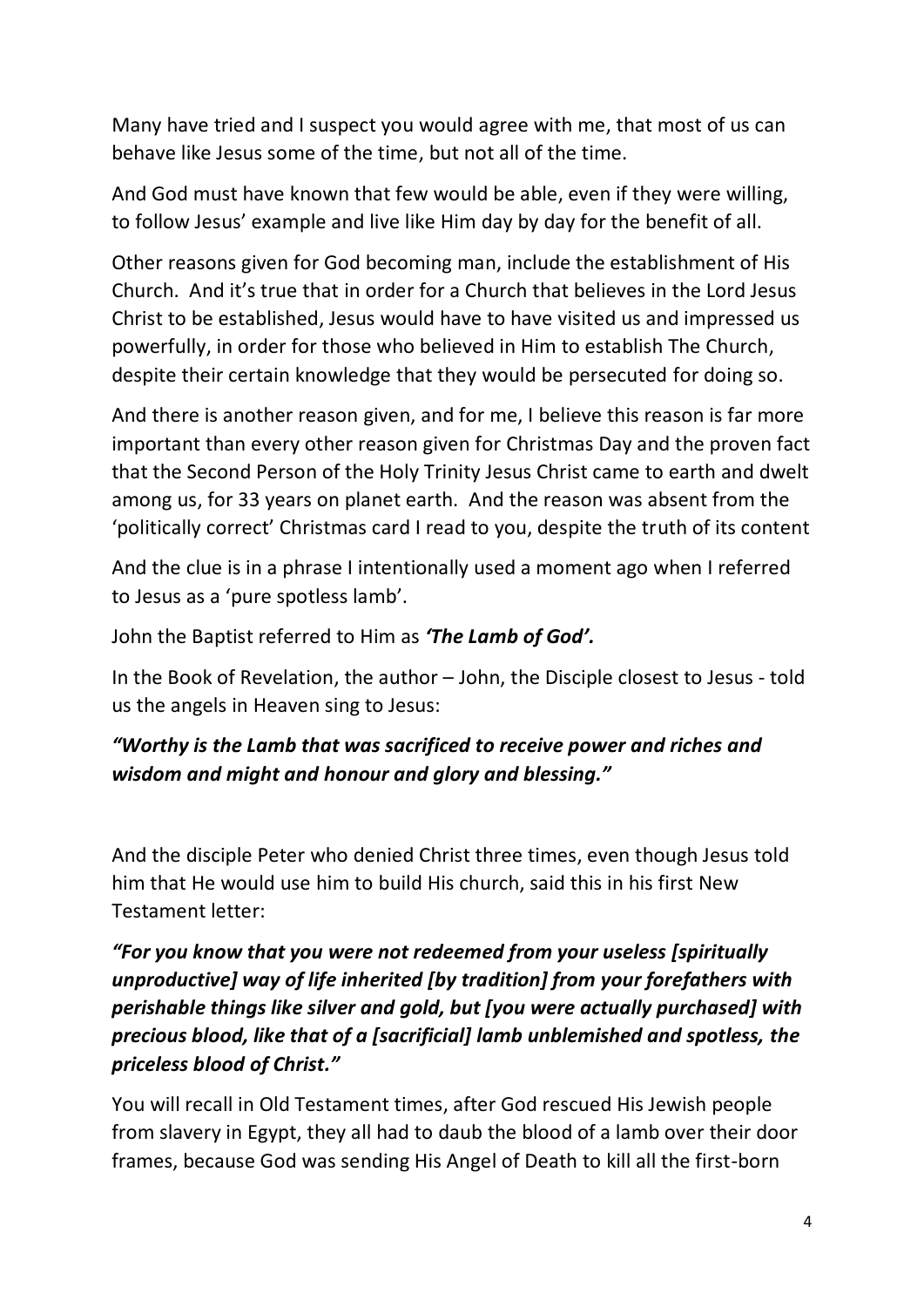Many have tried and I suspect you would agree with me, that most of us can behave like Jesus some of the time, but not all of the time.

And God must have known that few would be able, even if they were willing, to follow Jesus' example and live like Him day by day for the benefit of all.

Other reasons given for God becoming man, include the establishment of His Church. And it's true that in order for a Church that believes in the Lord Jesus Christ to be established, Jesus would have to have visited us and impressed us powerfully, in order for those who believed in Him to establish The Church, despite their certain knowledge that they would be persecuted for doing so.

And there is another reason given, and for me, I believe this reason is far more important than every other reason given for Christmas Day and the proven fact that the Second Person of the Holy Trinity Jesus Christ came to earth and dwelt among us, for 33 years on planet earth. And the reason was absent from the 'politically correct' Christmas card I read to you, despite the truth of its content

And the clue is in a phrase I intentionally used a moment ago when I referred to Jesus as a 'pure spotless lamb'.

John the Baptist referred to Him as *'The Lamb of God'.*

In the Book of Revelation, the author – John, the Disciple closest to Jesus - told us the angels in Heaven sing to Jesus:

## *"Worthy is the Lamb that was sacrificed to receive power and riches and wisdom and might and honour and glory and blessing."*

And the disciple Peter who denied Christ three times, even though Jesus told him that He would use him to build His church, said this in his first New Testament letter:

## *"For you know that you were not redeemed from your useless [spiritually unproductive] way of life inherited [by tradition] from your forefathers with perishable things like silver and gold, but [you were actually purchased] with precious blood, like that of a [sacrificial] lamb unblemished and spotless, the priceless blood of Christ."*

You will recall in Old Testament times, after God rescued His Jewish people from slavery in Egypt, they all had to daub the blood of a lamb over their door frames, because God was sending His Angel of Death to kill all the first-born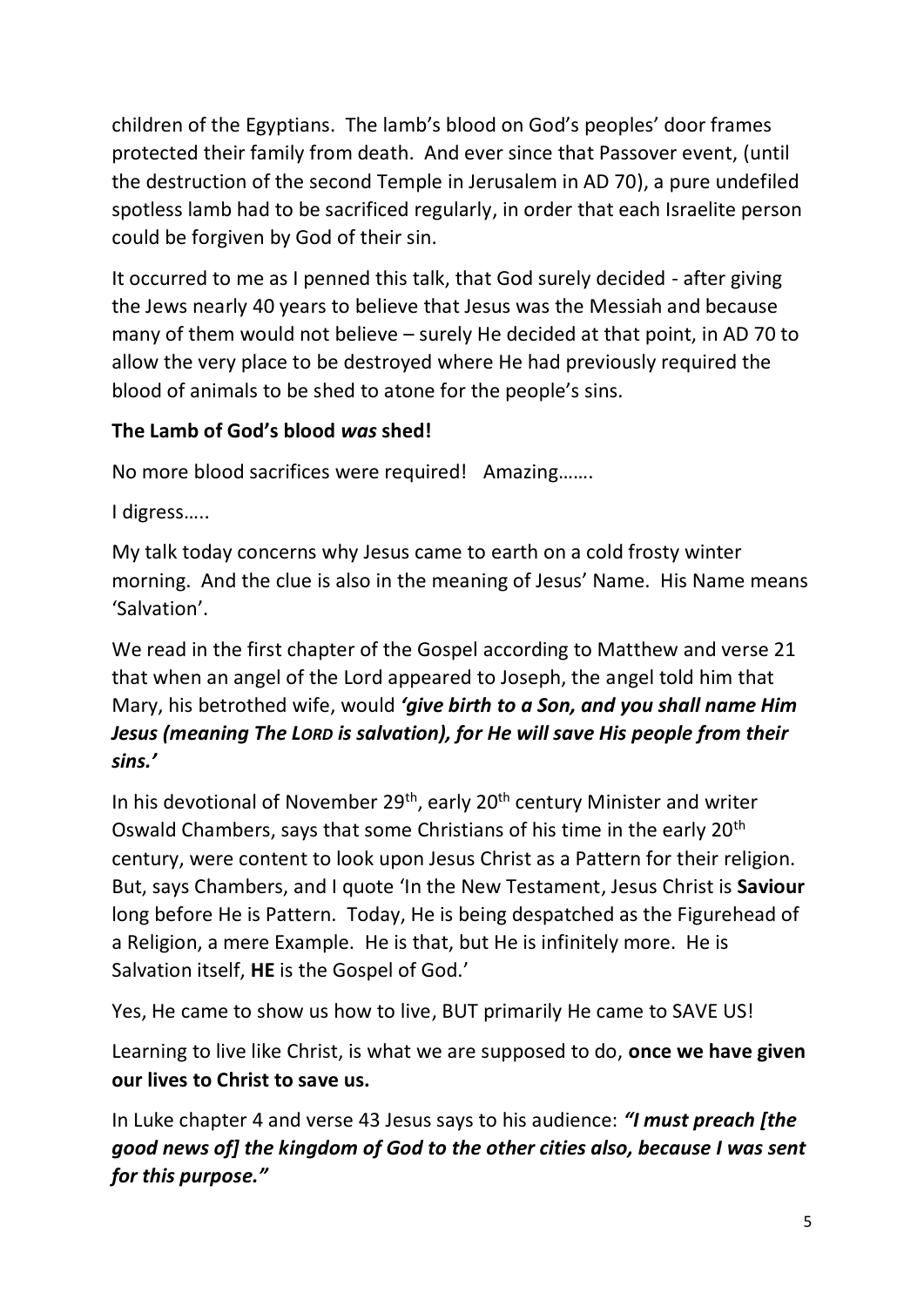children of the Egyptians. The lamb's blood on God's peoples' door frames protected their family from death. And ever since that Passover event, (until the destruction of the second Temple in Jerusalem in AD 70), a pure undefiled spotless lamb had to be sacrificed regularly, in order that each Israelite person could be forgiven by God of their sin.

It occurred to me as I penned this talk, that God surely decided - after giving the Jews nearly 40 years to believe that Jesus was the Messiah and because many of them would not believe – surely He decided at that point, in AD 70 to allow the very place to be destroyed where He had previously required the blood of animals to be shed to atone for the people's sins.

## **The Lamb of God's blood** *was* **shed!**

No more blood sacrifices were required! Amazing…….

I digress…..

My talk today concerns why Jesus came to earth on a cold frosty winter morning. And the clue is also in the meaning of Jesus' Name. His Name means 'Salvation'.

We read in the first chapter of the Gospel according to Matthew and verse 21 that when an angel of the Lord appeared to Joseph, the angel told him that Mary, his betrothed wife, would *'give birth to a Son, and you shall name Him Jesus (meaning The LORD is salvation), for He will save His people from their sins.'*

In his devotional of November 29<sup>th</sup>, early 20<sup>th</sup> century Minister and writer Oswald Chambers, says that some Christians of his time in the early 20th century, were content to look upon Jesus Christ as a Pattern for their religion. But, says Chambers, and I quote 'In the New Testament, Jesus Christ is **Saviour** long before He is Pattern. Today, He is being despatched as the Figurehead of a Religion, a mere Example. He is that, but He is infinitely more. He is Salvation itself, **HE** is the Gospel of God.'

Yes, He came to show us how to live, BUT primarily He came to SAVE US!

Learning to live like Christ, is what we are supposed to do, **once we have given our lives to Christ to save us.**

In Luke chapter 4 and verse 43 Jesus says to his audience: *"I must preach [the good news of] the kingdom of God to the other cities also, because I was sent for this purpose."*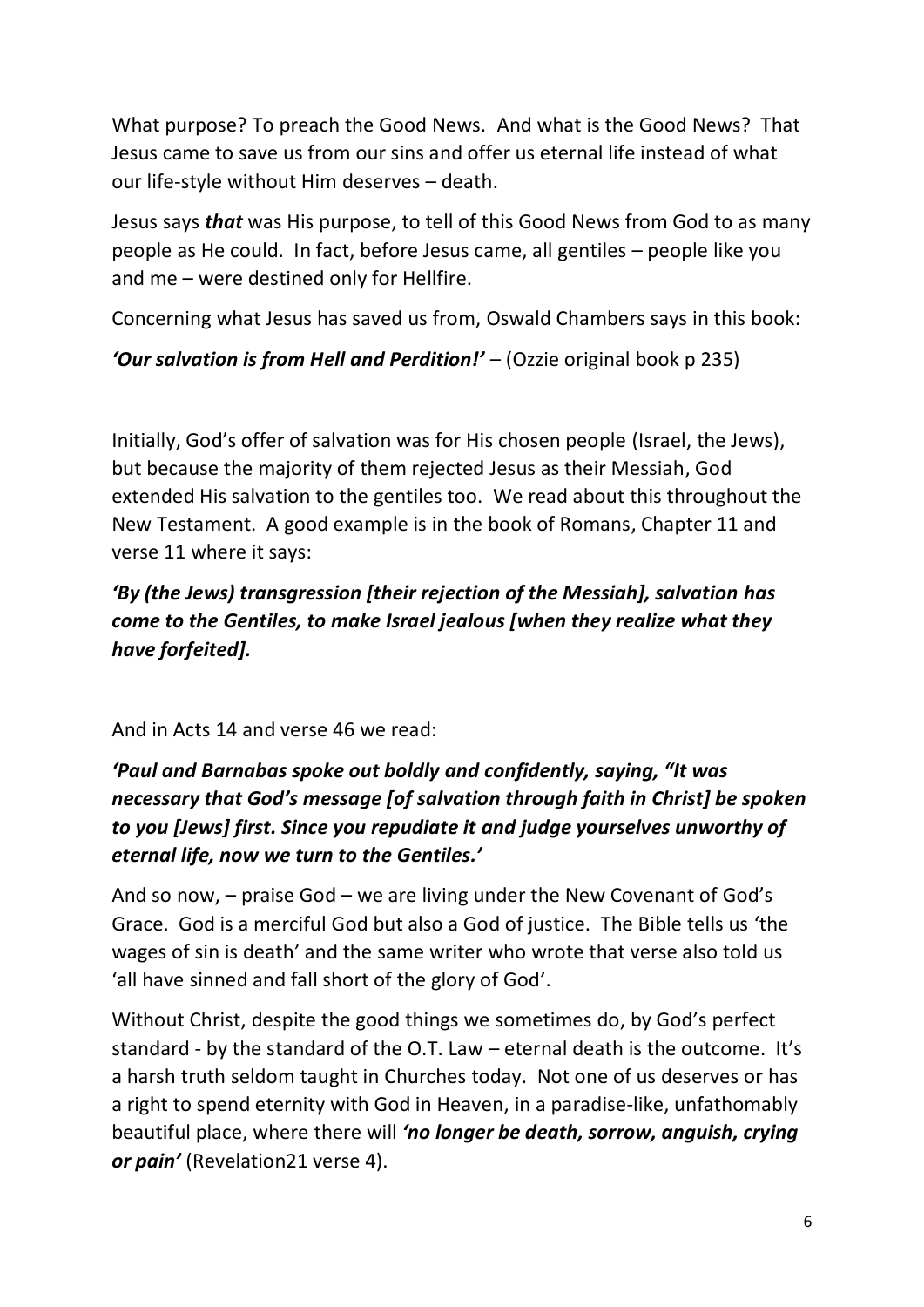What purpose? To preach the Good News. And what is the Good News? That Jesus came to save us from our sins and offer us eternal life instead of what our life-style without Him deserves – death.

Jesus says *that* was His purpose, to tell of this Good News from God to as many people as He could. In fact, before Jesus came, all gentiles – people like you and me – were destined only for Hellfire.

Concerning what Jesus has saved us from, Oswald Chambers says in this book:

*'Our salvation is from Hell and Perdition!'* – (Ozzie original book p 235)

Initially, God's offer of salvation was for His chosen people (Israel, the Jews), but because the majority of them rejected Jesus as their Messiah, God extended His salvation to the gentiles too. We read about this throughout the New Testament. A good example is in the book of Romans, Chapter 11 and verse 11 where it says:

## *'By (the Jews) transgression [their rejection of the Messiah], salvation has come to the Gentiles, to make Israel jealous [when they realize what they have forfeited].*

#### And in Acts 14 and verse 46 we read:

# *'Paul and Barnabas spoke out boldly and confidently, saying, "It was necessary that God's message [of salvation through faith in Christ] be spoken to you [Jews] first. Since you repudiate it and judge yourselves unworthy of eternal life, now we turn to the Gentiles.'*

And so now, – praise God – we are living under the New Covenant of God's Grace. God is a merciful God but also a God of justice. The Bible tells us 'the wages of sin is death' and the same writer who wrote that verse also told us 'all have sinned and fall short of the glory of God'.

Without Christ, despite the good things we sometimes do, by God's perfect standard - by the standard of the O.T. Law – eternal death is the outcome. It's a harsh truth seldom taught in Churches today. Not one of us deserves or has a right to spend eternity with God in Heaven, in a paradise-like, unfathomably beautiful place, where there will *'no longer be death, sorrow, anguish, crying or pain'* (Revelation21 verse 4).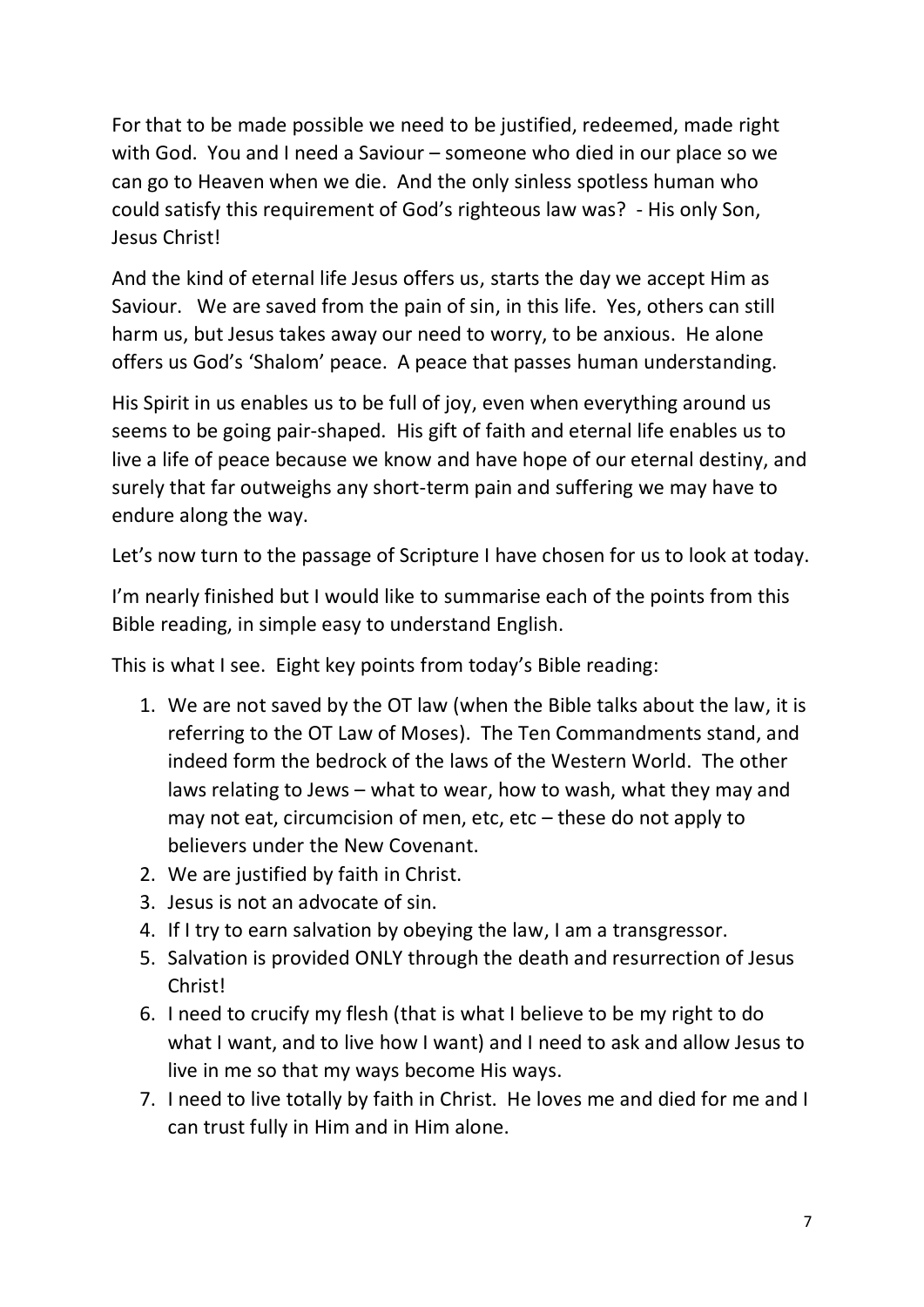For that to be made possible we need to be justified, redeemed, made right with God. You and I need a Saviour – someone who died in our place so we can go to Heaven when we die. And the only sinless spotless human who could satisfy this requirement of God's righteous law was? - His only Son, Jesus Christ!

And the kind of eternal life Jesus offers us, starts the day we accept Him as Saviour. We are saved from the pain of sin, in this life. Yes, others can still harm us, but Jesus takes away our need to worry, to be anxious. He alone offers us God's 'Shalom' peace. A peace that passes human understanding.

His Spirit in us enables us to be full of joy, even when everything around us seems to be going pair-shaped. His gift of faith and eternal life enables us to live a life of peace because we know and have hope of our eternal destiny, and surely that far outweighs any short-term pain and suffering we may have to endure along the way.

Let's now turn to the passage of Scripture I have chosen for us to look at today.

I'm nearly finished but I would like to summarise each of the points from this Bible reading, in simple easy to understand English.

This is what I see. Eight key points from today's Bible reading:

- 1. We are not saved by the OT law (when the Bible talks about the law, it is referring to the OT Law of Moses). The Ten Commandments stand, and indeed form the bedrock of the laws of the Western World. The other laws relating to Jews – what to wear, how to wash, what they may and may not eat, circumcision of men, etc, etc – these do not apply to believers under the New Covenant.
- 2. We are justified by faith in Christ.
- 3. Jesus is not an advocate of sin.
- 4. If I try to earn salvation by obeying the law, I am a transgressor.
- 5. Salvation is provided ONLY through the death and resurrection of Jesus Christ!
- 6. I need to crucify my flesh (that is what I believe to be my right to do what I want, and to live how I want) and I need to ask and allow Jesus to live in me so that my ways become His ways.
- 7. I need to live totally by faith in Christ. He loves me and died for me and I can trust fully in Him and in Him alone.